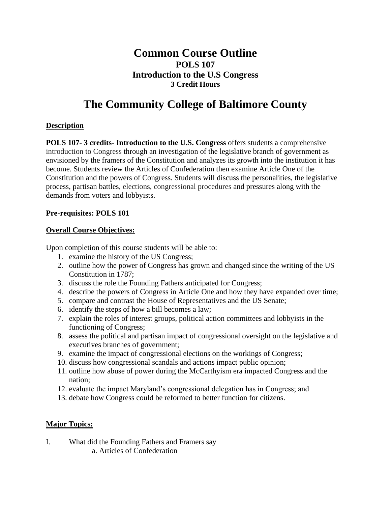# **Common Course Outline POLS 107 Introduction to the U.S Congress 3 Credit Hours**

# **The Community College of Baltimore County**

#### **Description**

**POLS 107- 3 credits- Introduction to the U.S. Congress** offers students a comprehensive introduction to Congress through an investigation of the legislative branch of government as envisioned by the framers of the Constitution and analyzes its growth into the institution it has become. Students review the Articles of Confederation then examine Article One of the Constitution and the powers of Congress. Students will discuss the personalities, the legislative process, partisan battles, elections, congressional procedures and pressures along with the demands from voters and lobbyists.

#### **Pre-requisites: POLS 101**

#### **Overall Course Objectives:**

Upon completion of this course students will be able to:

- 1. examine the history of the US Congress;
- 2. outline how the power of Congress has grown and changed since the writing of the US Constitution in 1787;
- 3. discuss the role the Founding Fathers anticipated for Congress;
- 4. describe the powers of Congress in Article One and how they have expanded over time;
- 5. compare and contrast the House of Representatives and the US Senate;
- 6. identify the steps of how a bill becomes a law;
- 7. explain the roles of interest groups, political action committees and lobbyists in the functioning of Congress;
- 8. assess the political and partisan impact of congressional oversight on the legislative and executives branches of government;
- 9. examine the impact of congressional elections on the workings of Congress;
- 10. discuss how congressional scandals and actions impact public opinion;
- 11. outline how abuse of power during the McCarthyism era impacted Congress and the nation;
- 12. evaluate the impact Maryland's congressional delegation has in Congress; and
- 13. debate how Congress could be reformed to better function for citizens.

## **Major Topics:**

- I. What did the Founding Fathers and Framers say
	- a. Articles of Confederation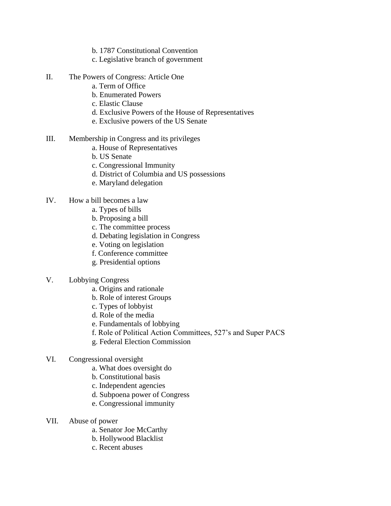- b. 1787 Constitutional Convention
- c. Legislative branch of government
- II. The Powers of Congress: Article One
	- a. Term of Office
	- b. Enumerated Powers
	- c. Elastic Clause
	- d. Exclusive Powers of the House of Representatives
	- e. Exclusive powers of the US Senate
- III. Membership in Congress and its privileges
	- a. House of Representatives
	- b. US Senate
	- c. Congressional Immunity
	- d. District of Columbia and US possessions
	- e. Maryland delegation
- IV. How a bill becomes a law
	- a. Types of bills
	- b. Proposing a bill
	- c. The committee process
	- d. Debating legislation in Congress
	- e. Voting on legislation
	- f. Conference committee
	- g. Presidential options
- V. Lobbying Congress
	- a. Origins and rationale
	- b. Role of interest Groups
	- c. Types of lobbyist
	- d. Role of the media
	- e. Fundamentals of lobbying
	- f. Role of Political Action Committees, 527's and Super PACS
	- g. Federal Election Commission
- VI. Congressional oversight
	- a. What does oversight do
	- b. Constitutional basis
	- c. Independent agencies
	- d. Subpoena power of Congress
	- e. Congressional immunity
- VII. Abuse of power
	- a. Senator Joe McCarthy
	- b. Hollywood Blacklist
	- c. Recent abuses